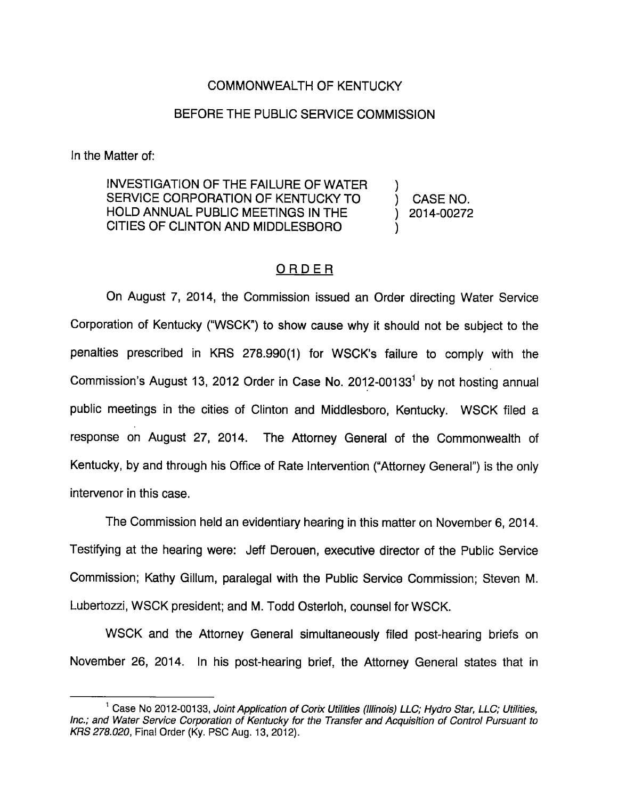## COMMONWEALTH OF KENTUCKY

# BEFORE THE PUBLIC SERVICE COMMISSION

In the Matter of:

INVESTIGATION OF THE FAILURE OF WATER SERVICE CORPORATION OF KENTUCKY TO (CASE NO. HOLD ANNUAL PUBLIC MEETINGS IN THE ) 2014-00272 CITIES OF CLINTON AND MIDDLESBORO )

## ORDER

On August 7, 2014, the Commission issued an Order directing Water Service Corporation of Kentucky ("WSCK") to show cause why It should not be subject to the penalties prescribed in KRS 278.990(1) for WSCK's failure to comply with the Commission's August 13, 2012 Order in Case No. 2012-00133 $<sup>1</sup>$  by not hosting annual</sup> public meetings in the cities of Clinton and Middlesboro, Kentucky. WSCK filed a response on August 27, 2014. The Attomey General of the Commonwealth of Kentucky, by and through his Office of Rate Intervention ("Attorney General") is the only intervenor in this case.

The Commission held an evidentiary hearing in this matter on November 6, 2014. Testifying at the hearing were: Jeff Derouen, executive director of the Public Service Commission; Kathy Glllum, paralegal with the Public Service Commission; Steven M. Lubertozzi, WSCK president; and M. Todd Osterloh, counsel for WSCK.

WSCK and the Attorney General simultaneously filed post-hearing briefs on November 26, 2014. In his post-hearing brief, the Attorney General states that in

 $^1$  Case No 2012-00133, Joint Application of Corix Utilities (Illinois) LLC; Hydro Star, LLC; Utilities, Inc.; and Water Service Corporation of Kentucky for the Transfer and Acquisition of Control Pursuant to KRS 278.020, Final Order (Ky. PSC Aug. 13. 2012).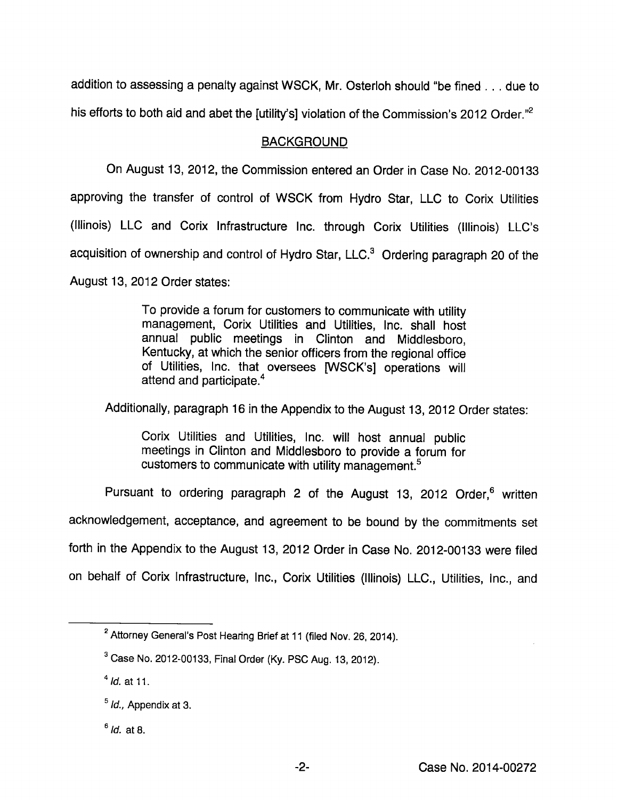addition to assessing a penalty against WSCK, Mr. Osterloh should "be fined . . . due to his efforts to both aid and abet the [utility's] violation of the Commission's 2012 Order.<sup>"2</sup>

## BACKGROUND

On August 13, 2012, the Commission entered an Order in Case No. 2012-00133 approving the transfer of control of WSCK from Hydro Star, LLC to Corix Utilities (Illinois) LLC and Corix Infrastructure Inc. through Corix Utilities (Illinois) LLC's acquisition of ownership and control of Hydro Star, LLC.<sup>3</sup> Ordering paragraph 20 of the August 13, 2012 Order states:

> To provide a forum for customers to communicate with utility management, Corix Utilities and Utilities, Inc. shall host annual public meetings in Clinton and Middlesboro, Kentucky, at which the senior officers from the regional office of Utilities, Inc. that oversees [WSCK's] operations will attend and participate.<sup>4</sup>

Additionally, paragraph 16 in the Appendix to the August 13, 2012 Order states:

Corix Utilities and Utilities, Inc. will host annual public meetings in Clinton and Middlesboro to provide a forum for customers to communicate with utility management.<sup>5</sup>

Pursuant to ordering paragraph 2 of the August 13, 2012 Order,<sup>6</sup> written acknowledgement, acceptance, and agreement to be bound by the commitments set forth in the Appendix to the August 13, 2012 Order in Case No. 2012-00133 were filed on behalf of Corix Infrastructure, Inc., Corix Utilities (Illinois) LLC., Utilities, inc., and

 $<sup>6</sup>$  *ld.* at 8.</sup>

 $^2$  Attorney General's Post Hearing Brief at 11 (filed Nov. 26, 2014).

 $^3$  Case No. 2012-00133, Final Order (Ky. PSC Aug. 13, 2012).

 $^{4}$  *Id.* at 11.

 $<sup>5</sup>$  *ld.*, Appendix at 3.</sup>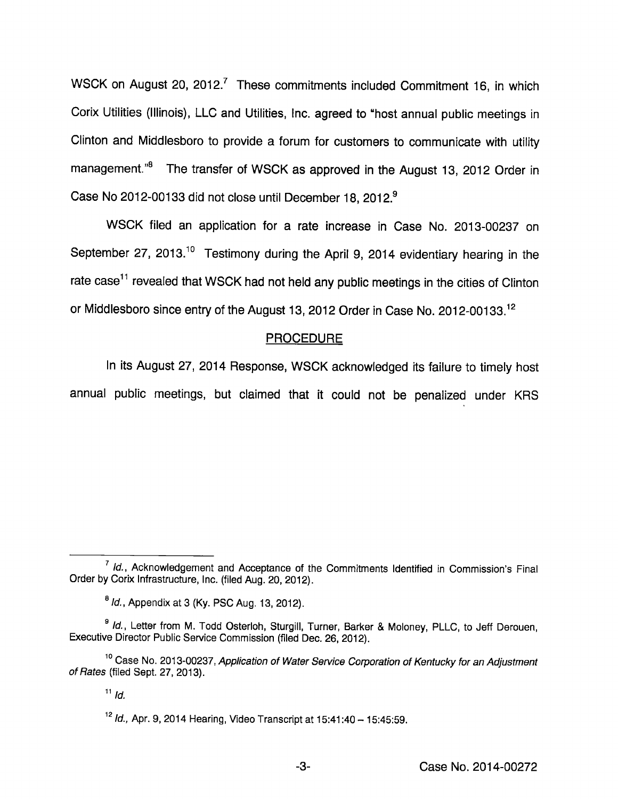WSCK on August 20, 2012.<sup>7</sup> These commitments included Commitment 16, in which Corix Utilities (Illinois), LLC and Utilities, Inc. agreed to "host annual public meetings in Clinton and Middlesboro to provide a forum for customers to communicate with utility management."<sup>8</sup> The transfer of WSCK as approved in the August 13, 2012 Order in Case No 2012-00133 did not close until December 18, 2012.®

WSCK filed an application for a rate increase in Case No. 2013-00237 on September 27, 2013.<sup>10</sup> Testimony during the April 9, 2014 evidentiary hearing in the rate case<sup>11</sup> revealed that WSCK had not held any public meetings in the cities of Clinton or Middlesboro since entry of the August 13, 2012 Order in Case No. 2012-00133.<sup>12</sup>

#### **PROCEDURE**

In its August 27, 2014 Response, WSCK acknowledged its failure to timely host annual public meetings, but claimed that it could not be penalized under KRS

 $\frac{1}{1}$  Id., Acknowledgement and Acceptance of the Commitments Identified in Commission's Final Order by Corix Infrastructure, Inc. (filed Aug. 20, 2012).

 $<sup>8</sup>$  *ld.*, Appendix at 3 (Ky. PSC Aug. 13, 2012).</sup>

<sup>&</sup>lt;sup>9</sup> Id., Letter from M. Todd Osterloh, Sturgill, Turner, Barker & Moloney, PLLC, to Jeff Derouen, Executive Director Public Service Commission (filed Dec. 26, 2012).

<sup>&</sup>lt;sup>10</sup> Case No. 2013-00237, Application of Water Service Corporation of Kentucky for an Adjustment of Rates (filed Sept. 27, 2013).

 $11$  Id.

 $12$  *ld.*, Apr. 9, 2014 Hearing, Video Transcript at 15:41:40 - 15:45:59.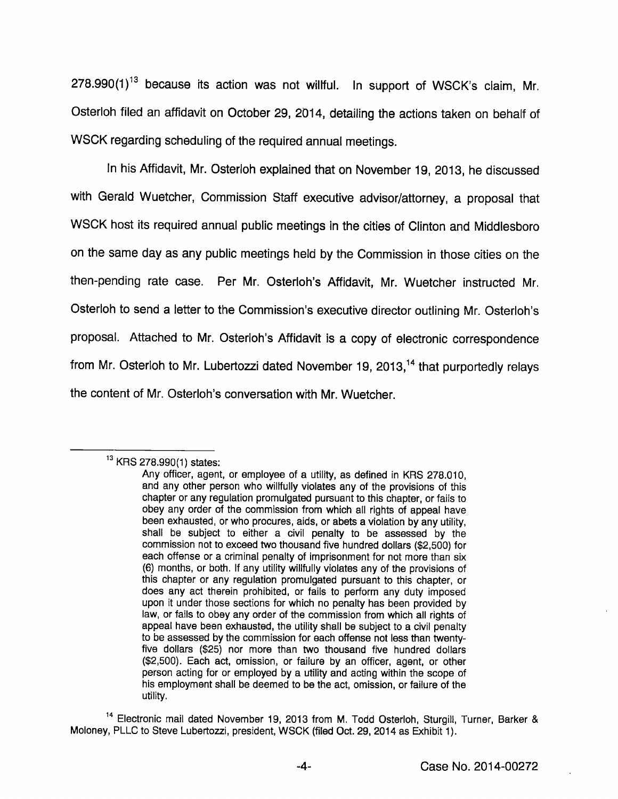$278.990(1)^{13}$  because its action was not willful. In support of WSCK's claim, Mr. Osterloh filed an affidavit on October 29, 2014, detailing the actions taken on behalf of WSCK regarding scheduling of the required annual meetings.

in his Affidavit, Mr. Osterloh explained that on November 19, 2013, he discussed with Gerald Wuetcher, Commission Staff executive advisor/attorney, a proposal that WSCK host its required annual public meetings in the cities of Clinton and Middlesboro on the same day as any public meetings held by the Commission In those cities on the then-pending rate case. Per Mr. Osterloh's Affidavit, Mr. Wuetcher instructed Mr. Osterloh to send a letter to the Commission's executive director outlining Mr. Osterloh's proposal. Attached to Mr. Osterloh's Affidavit Is a copy of electronic correspondence from Mr. Osterloh to Mr. Lubertozzi dated November 19, 2013, $<sup>14</sup>$  that purportedly relays</sup> the content of Mr. Osterloh's conversation with Mr. Wuetcher.

 $^{13}$  KRS 278.990(1) states:

Any officer, agent, or employee of a utility, as defined in KRS 278.010, and any other person who willfully violates any of the provisions of this chapter or any regulation promulgated pursuant to this chapter, or fails to obey any order of the commission from which all rights of appeal have been exhausted, or who procures, aids, or abets a violation by any utility, shall be subject to either a civil penalty to be assessed by the commission not to exceed two thousand five hundred dollars (\$2,500) for each offense or a criminal penalty of imprisonment for not more than six (6) months, or both. If any utility willfully violates any of the provisions of this chapter or any regulation promulgated pursuant to this chapter, or does any act therein prohibited, or fails to perform any duty imposed upon it under those sections for which no penalty has been provided by law, or fails to obey any order of the commission from which ail rights of appeal have been exhausted, the utility shall be subject to a civil penalty to be assessed by the commission for each offense not less than twentyfive dollars (\$25) nor more than two thousand five hundred dollars (\$2,500). Each act, omission, or failure by an officer, agent, or other person acting for or employed by a utility and acting within the scope of his employment shall be deemed to be the act, omission, or failure of the utility.

<sup>&</sup>lt;sup>14</sup> Electronic mail dated November 19, 2013 from M. Todd Osterloh, Sturgill, Turner, Barker & Moloney, PLLC to Steve Lubertozzi, president, WSCK (filed Oct. 29, 2014 as Exhibit 1).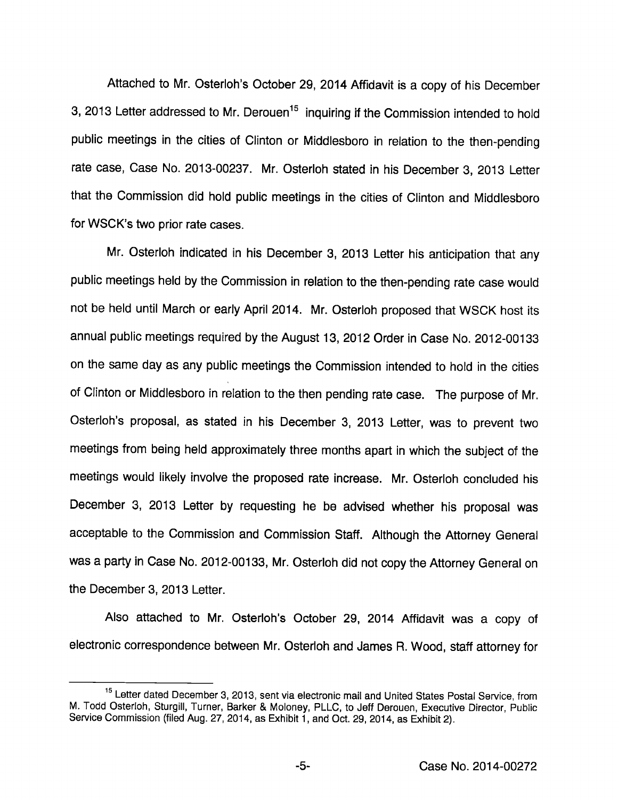Attached to Mr. Osterloh's October 29, 2014 Affidavit is a copy of his December 3, 2013 Letter addressed to Mr. Derouen<sup>15</sup> inquiring if the Commission intended to hold public meetings in the cities of Clinton or Middlesboro in relation to the then-pending rate case, Case No. 2013-00237. Mr. Osterloh stated in his December 3, 2013 Letter that the Commission did hold public meetings in the cities of Clinton and Middlesboro for WSCK's two prior rate cases.

Mr. Osterloh indicated in his December 3, 2013 Letter his anticipation that any public meetings held by the Commission in relation to the then-pending rate case would not be held until March or early April 2014. Mr. Osterloh proposed that WSCK host its annual public meetings required by the August 13, 2012 Order in Case No. 2012-00133 on the same day as any public meetings the Commission intended to hold in the cities of Clinton or Middlesboro in relation to the then pending rate case. The purpose of Mr. Osterloh's proposal, as stated in his December 3, 2013 Letter, was to prevent two meetings from being held approximately three months apart in which the subject of the meetings would likely involve the proposed rate increase. Mr. Osterloh concluded his December 3, 2013 Letter by requesting he be advised whether his proposal was acceptable to the Commission and Commission Staff. Although the Attorney General was a party in Case No. 2012-00133, Mr. Osterloh did not copythe Attorney General on the December 3, 2013 Letter.

Also attached to Mr. Osterloh's October 29, 2014 Affidavit was a copy of electronic correspondence between Mr. Osterloh and James R. Wood, staff attorney for

<sup>&</sup>lt;sup>15</sup> Letter dated December 3, 2013, sent via electronic mail and United States Postal Service, from M. Todd Osterloh, Sturgill, Turner, Barker & Moloney, PLLC, to Jeff Derouen, Executive Director, Public Service Commission (filed Aug. 27, 2014, as Exhibit 1, and Oct. 29, 2014, as Exhibit 2).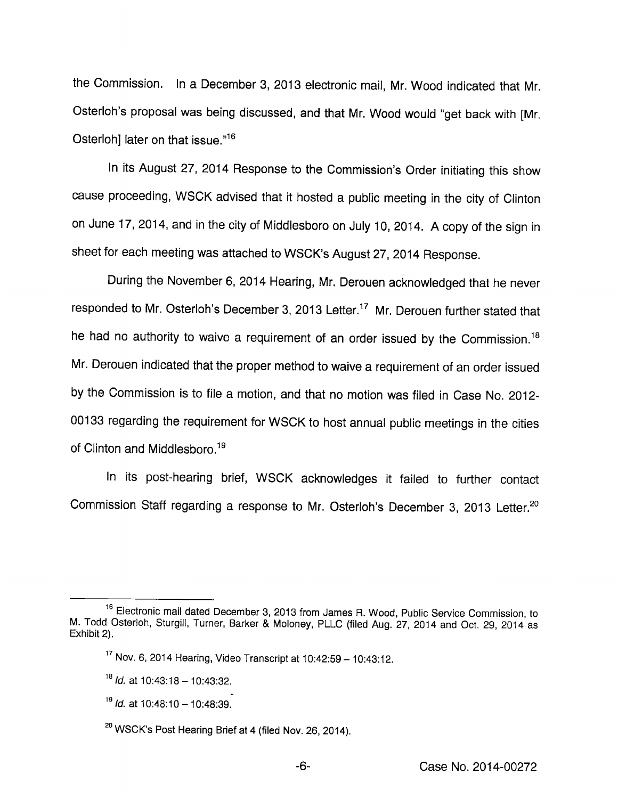the Commission. In a December 3, 2013 electronic mail, Mr. Wood indicated that Mr. Osterloh's proposal was being discussed, and that Mr. Wood would "get back with [Mr. Osterloh] later on that issue."<sup>16</sup>

In its August 27, 2014 Response to the Commission's Order initiating this show cause proceeding, WSCK advised that it hosted a public meeting in the city of Clinton on June 17, 2014, and in the city of Middlesboro on July 10, 2014. Acopy of the sign in sheet for each meeting was attached to WSCK's August 27, 2014 Response.

During the November 6, 2014 Hearing, Mr. Derouen acknowledged that he never responded to Mr. Osterloh's December 3, 2013 Letter.<sup>17</sup> Mr. Derouen further stated that he had no authority to waive a requirement of an order issued by the Commission.<sup>18</sup> Mr. Derouen indicated that the proper method to waive a requirement of an order issued by the Commission is to file a motion, and that no motion was filed in Case No. 2012- 00133 regarding the requirement for WSCK to host annual public meetings in the cities of Clinton and Middlesboro.<sup>19</sup>

In its post-hearing brief, WSCK acknowledges it failed to further contact Commission Staff regarding a response to Mr. Osterloh's December 3, 2013 Letter.<sup>20</sup>

<sup>&</sup>lt;sup>16</sup> Electronic mail dated December 3, 2013 from James R. Wood, Public Service Commission, to M. Todd Osterloh, Sturgiil, Turner, Barker & Moioney, PLLO (filed Aug. 27, 2014 and Oct. 29, 2014 as Exhibit 2).

 $17$  Nov. 6, 2014 Hearing, Video Transcript at  $10:42:59-10:43:12$ .

 $18$  Id. at 10:43:18 - 10:43:32.

 $19$  *ld.* at 10:48:10 - 10:48:39.

 $\rm ^{20}$  WSCK's Post Hearing Brief at 4 (filed Nov. 26, 2014).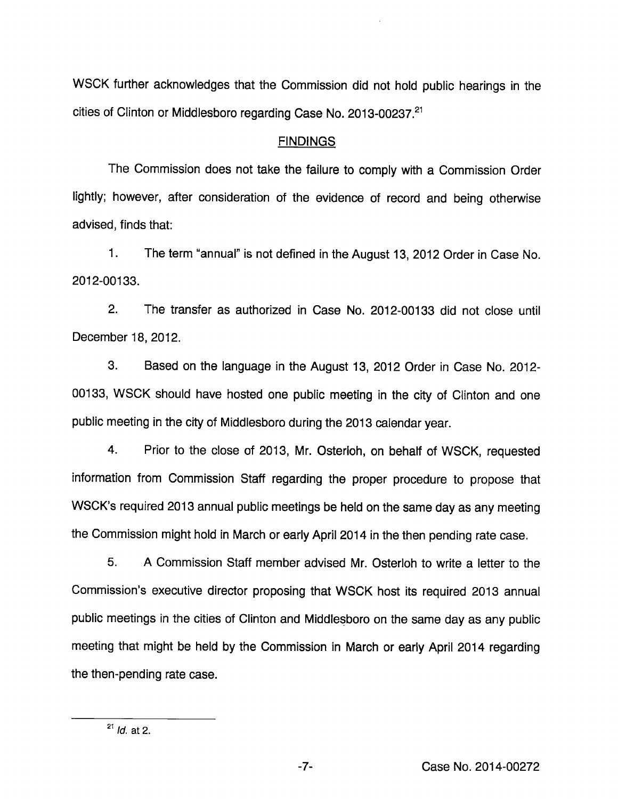WSCK further acknowledges that the Commission did not hold public hearings in the cities of Clinton or Middlesboro regarding Case No. 2013-00237.<sup>21</sup>

#### **FINDINGS**

The Commission does not take the failure to comply with a Commission Order lightly; however, after consideration of the evidence of record and being otherwise advised, finds that:

1. The term "annual" is not defined in the August 13, 2012 Order in Case No. 2012-00133.

2. The transfer as authorized in Case No. 2012-00133 did not close until December 18, 2012.

3. Based on the language in the August 13, 2012 Order in Case No. 2012- 00133, WSCK should have hosted one public meeting in the city of Clinton and one public meeting in the city of Middlesboro during the 2013 calendar year.

4. Prior to the close of 2013, Mr. Osterloh, on behalf of WSCK, requested information from Commission Staff regarding the proper procedure to propose that WSCK's required 2013 annual public meetings be held on the same day as any meeting the Commission might hold in March or early April 2014 in the then pending rate case.

5. A Commission Staff member advised Mr. Osterloh to write a letter to the Commission's executive director proposing that WSCK host its required 2013 annual public meetings in the cities of Clinton and Middlesboro on the same day as any public meeting that might be held by the Commission in March or early April 2014 regarding the then-pending rate case.

 $^{21}$  *Id.* at 2.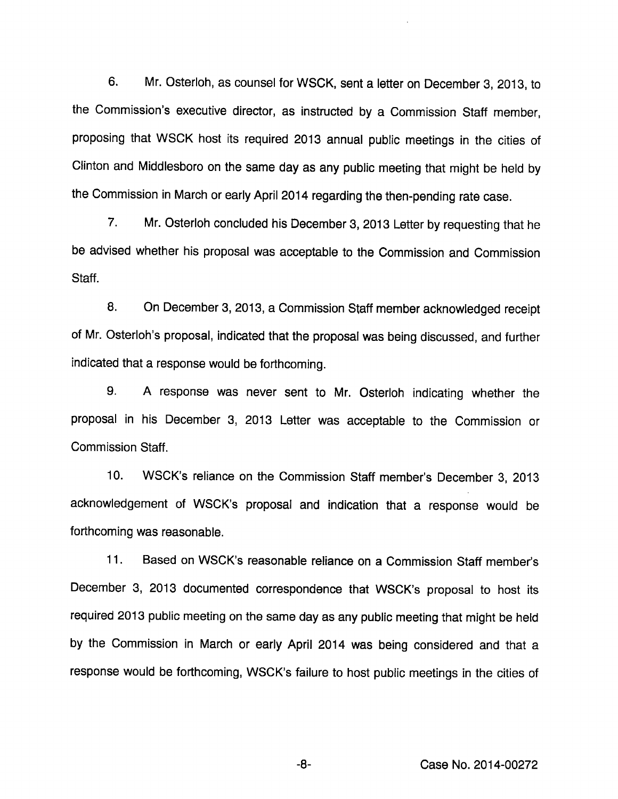6. Mr. Osterloh, as counsel for WSCK, sent a letter on December 3, 2013, to the Commission's executive director, as instructed by a Commission Staff member, proposing that WSCK host its required 2013 annual public meetings in the cities of Clinton and Middlesboro on the same day as any public meeting that might be held by the Commission in March or early April 2014 regarding the then-pending rate case.

7. Mr. Osterloh concluded his December 3, 2013 Letter by requesting that he be advised whether his proposal was acceptable to the Commission and Commission Staff.

8. On December 3, 2013, a Commission Staff member acknowledged receipt of Mr. Osterloh's proposal, indicated that the proposal was being discussed, and further indicated that a response would be forthcoming.

9. A response was never sent to Mr. Osterloh indicating whether the proposal in his December 3, 2013 Letter was acceptable to the Commission or Commission Staff.

10. WSCK's reliance on the Commission Staff member's December 3, 2013 acknowledgement of WSCK's proposal and indication that a response would be forthcoming was reasonable.

11. Based on WSCK's reasonable reliance on a Commission Staff member's December 3, 2013 documented correspondence that WSCK's proposal to host its required 2013 public meeting on the same day as any public meeting that might be held by the Commission in March or early April 2014 was being considered and that a response would be forthcoming, WSCK's failure to host public meetings in the cities of

-8- Case No. 2014-00272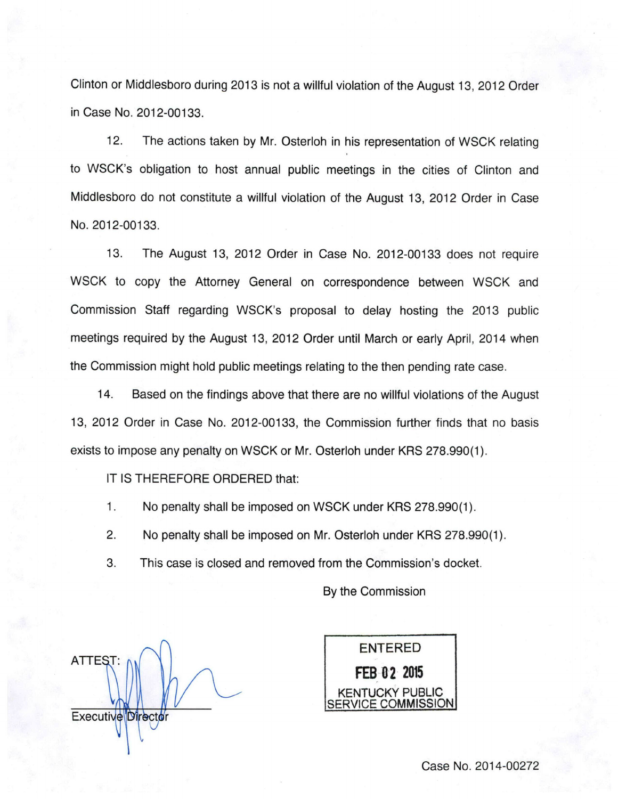Clinton or Middlesboro during 2013 is not a willful violation of the August 13, 2012 Order in Case No. 2012-00133.

12. The actions taken by Mr. Osterloh in his representation of WSCK relating to WSCK's obligation to host annual public meetings in the cities of Clinton and Middlesboro do not constitute a willful violation of the August 13, 2012 Order in Case No. 2012-00133.

13. The August 13, 2012 Order in Case No. 2012-00133 does not require WSCK to copy the Attorney General on correspondence between WSCK and Commission Staff regarding WSCK's proposal to delay hosting the 2013 public meetings required by the August 13, 2012 Order until March or early April, 2014 when the Commission might hold public meetings relating to the then pending rate case.

14. Based on the findings above that there are no willful violations of the August 13, 2012 Order in Case No. 2012-00133, the Commission further finds that no basis exists to impose any penalty on WSCK or Mr. Osterloh under KRS 278.990(1).

IT IS THEREFORE ORDERED that:

1. No penalty shall be imposed on WSCK under KRS 278.990(1).

2. No penalty shall be imposed on Mr. Osterloh under KRS 278.990(1).

3. This case is closed and removed from the Commission's docket.

By the Commission

ATTEST; Executive Director



Case No. 2014-00272